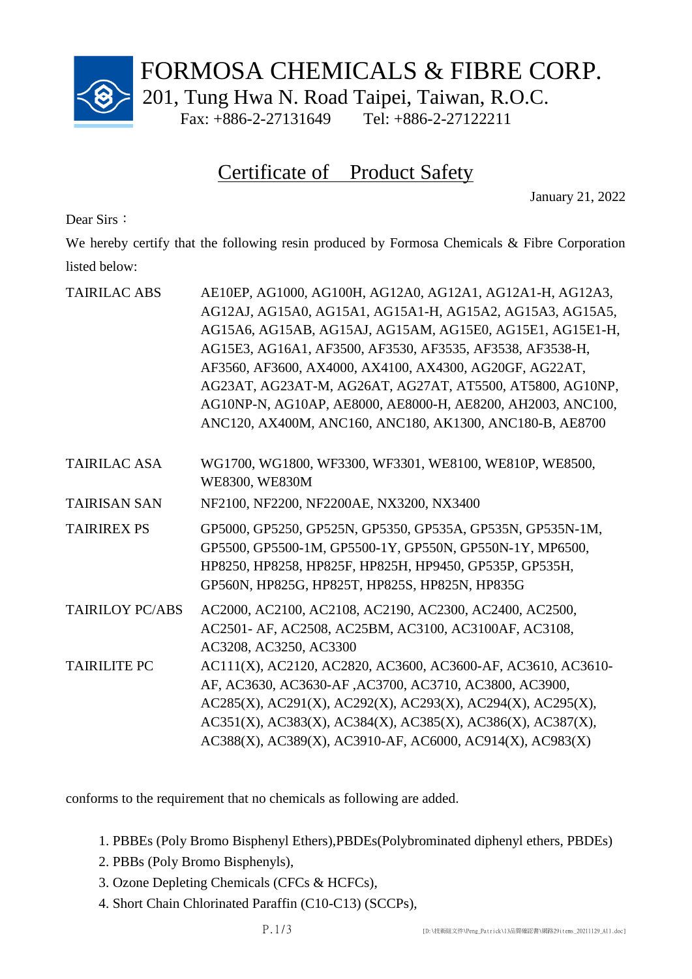

FORMOSA CHEMICALS & FIBRE CORP.

201, Tung Hwa N. Road Taipei, Taiwan, R.O.C.

Fax: +886-2-27131649 Tel: +886-2-27122211

## Certificate of Product Safety

January 21, 2022

Dear Sirs:

We hereby certify that the following resin produced by Formosa Chemicals & Fibre Corporation listed below:

| <b>TAIRILAC ABS</b>    | AE10EP, AG1000, AG100H, AG12A0, AG12A1, AG12A1-H, AG12A3,<br>AG12AJ, AG15A0, AG15A1, AG15A1-H, AG15A2, AG15A3, AG15A5,<br>AG15A6, AG15AB, AG15AJ, AG15AM, AG15E0, AG15E1, AG15E1-H,<br>AG15E3, AG16A1, AF3500, AF3530, AF3535, AF3538, AF3538-H,<br>AF3560, AF3600, AX4000, AX4100, AX4300, AG20GF, AG22AT,<br>AG23AT, AG23AT-M, AG26AT, AG27AT, AT5500, AT5800, AG10NP,<br>AG10NP-N, AG10AP, AE8000, AE8000-H, AE8200, AH2003, ANC100,<br>ANC120, AX400M, ANC160, ANC180, AK1300, ANC180-B, AE8700 |
|------------------------|-----------------------------------------------------------------------------------------------------------------------------------------------------------------------------------------------------------------------------------------------------------------------------------------------------------------------------------------------------------------------------------------------------------------------------------------------------------------------------------------------------|
| <b>TAIRILAC ASA</b>    | WG1700, WG1800, WF3300, WF3301, WE8100, WE810P, WE8500,<br>WE8300, WE830M                                                                                                                                                                                                                                                                                                                                                                                                                           |
| <b>TAIRISAN SAN</b>    | NF2100, NF2200, NF2200AE, NX3200, NX3400                                                                                                                                                                                                                                                                                                                                                                                                                                                            |
| <b>TAIRIREX PS</b>     | GP5000, GP5250, GP525N, GP5350, GP535A, GP535N, GP535N-1M,<br>GP5500, GP5500-1M, GP5500-1Y, GP550N, GP550N-1Y, MP6500,<br>HP8250, HP8258, HP825F, HP825H, HP9450, GP535P, GP535H,<br>GP560N, HP825G, HP825T, HP825S, HP825N, HP835G                                                                                                                                                                                                                                                                 |
| <b>TAIRILOY PC/ABS</b> | AC2000, AC2100, AC2108, AC2190, AC2300, AC2400, AC2500,<br>AC2501- AF, AC2508, AC25BM, AC3100, AC3100AF, AC3108,<br>AC3208, AC3250, AC3300                                                                                                                                                                                                                                                                                                                                                          |
| <b>TAIRILITE PC</b>    | AC111(X), AC2120, AC2820, AC3600, AC3600-AF, AC3610, AC3610-<br>AF, AC3630, AC3630-AF, AC3700, AC3710, AC3800, AC3900,<br>AC285(X), AC291(X), AC292(X), AC293(X), AC294(X), AC295(X),<br>AC351(X), AC383(X), AC384(X), AC385(X), AC386(X), AC387(X),<br>AC388(X), AC389(X), AC3910-AF, AC6000, AC914(X), AC983(X)                                                                                                                                                                                   |

conforms to the requirement that no chemicals as following are added.

1. PBBEs (Poly Bromo Bisphenyl Ethers),PBDEs(Polybrominated diphenyl ethers, PBDEs)

- 2. PBBs (Poly Bromo Bisphenyls),
- 3. Ozone Depleting Chemicals (CFCs & HCFCs),
- 4. Short Chain Chlorinated Paraffin (C10-C13) (SCCPs),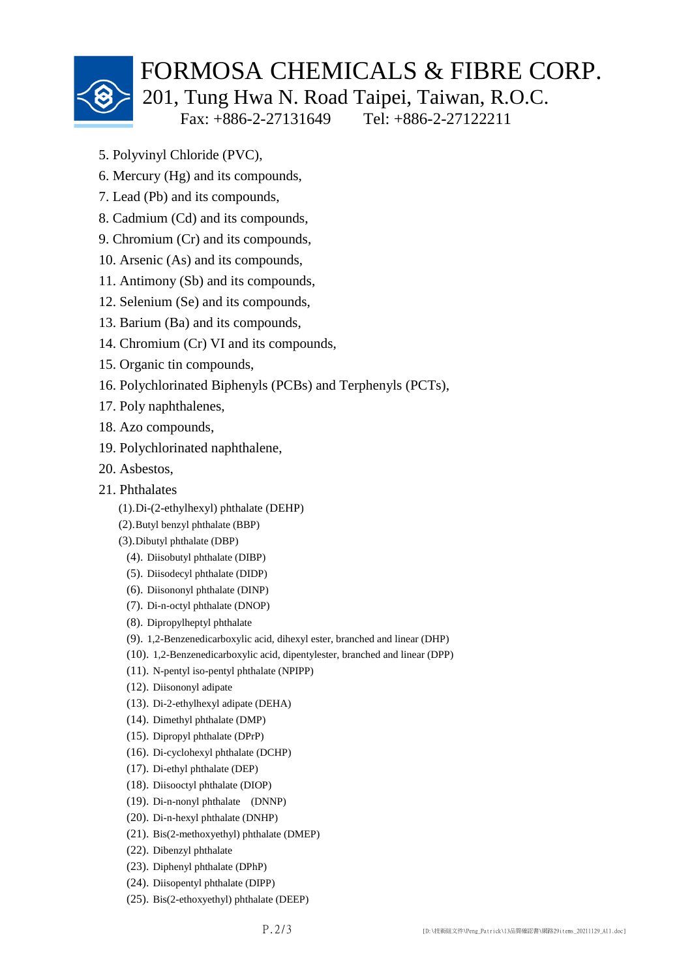

## FORMOSA CHEMICALS & FIBRE CORP.

201, Tung Hwa N. Road Taipei, Taiwan, R.O.C.

Fax: +886-2-27131649 Tel: +886-2-27122211

- 5. Polyvinyl Chloride (PVC),
- 6. Mercury (Hg) and its compounds,
- 7. Lead (Pb) and its compounds,
- 8. Cadmium (Cd) and its compounds,
- 9. Chromium (Cr) and its compounds,
- 10. Arsenic (As) and its compounds,
- 11. Antimony (Sb) and its compounds,
- 12. Selenium (Se) and its compounds,
- 13. Barium (Ba) and its compounds,
- 14. Chromium (Cr) VI and its compounds,
- 15. Organic tin compounds,
- 16. Polychlorinated Biphenyls (PCBs) and Terphenyls (PCTs),
- 17. Poly naphthalenes,
- 18. Azo compounds,
- 19. Polychlorinated naphthalene,
- 20. Asbestos,
- 21. Phthalates
	- (1).Di-(2-ethylhexyl) phthalate (DEHP)
	- (2).Butyl benzyl phthalate (BBP)
	- (3).Dibutyl phthalate (DBP)
		- (4). Diisobutyl phthalate (DIBP)
		- (5). Diisodecyl phthalate (DIDP)
		- (6). Diisononyl phthalate (DINP)
		- (7). Di-n-octyl phthalate (DNOP)
		- (8). Dipropylheptyl phthalate
		- (9). 1,2-Benzenedicarboxylic acid, dihexyl ester, branched and linear (DHP)
		- (10). 1,2-Benzenedicarboxylic acid, dipentylester, branched and linear (DPP)
		- (11). N-pentyl iso-pentyl phthalate (NPIPP)
		- (12). Diisononyl adipate
		- (13). Di-2-ethylhexyl adipate (DEHA)
		- (14). Dimethyl phthalate (DMP)
		- (15). Dipropyl phthalate (DPrP)
		- (16). Di-cyclohexyl phthalate (DCHP)
		- (17). Di-ethyl phthalate (DEP)
		- (18). Diisooctyl phthalate (DIOP)
		- (19). Di-n-nonyl phthalate (DNNP)
		- (20). Di-n-hexyl phthalate (DNHP)
		- (21). Bis(2-methoxyethyl) phthalate (DMEP)
		- (22). Dibenzyl phthalate
		- (23). Diphenyl phthalate (DPhP)
		- (24). Diisopentyl phthalate (DIPP)
		- (25). Bis(2-ethoxyethyl) phthalate (DEEP)